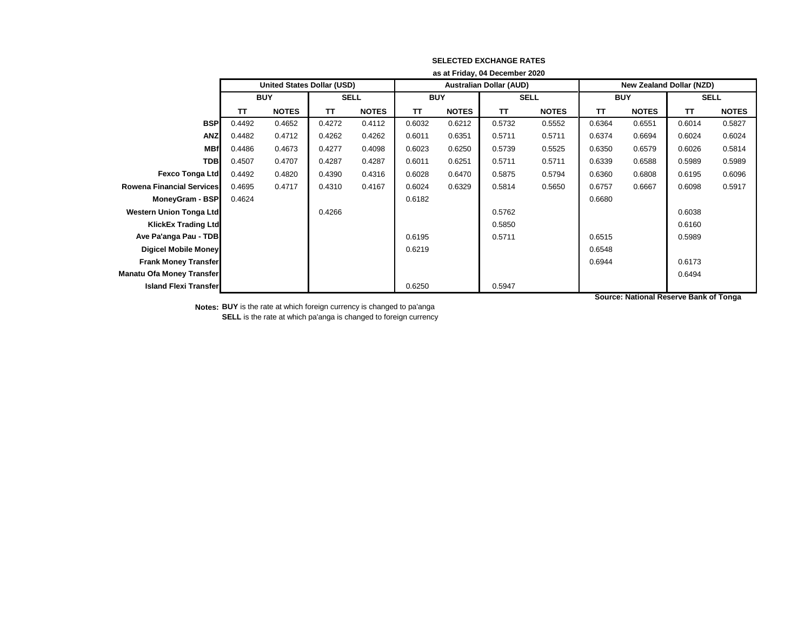|                                  | as at Friday, 04 December 2020    |              |             |              |                                |              |             |              |                                 |              |             |              |
|----------------------------------|-----------------------------------|--------------|-------------|--------------|--------------------------------|--------------|-------------|--------------|---------------------------------|--------------|-------------|--------------|
|                                  | <b>United States Dollar (USD)</b> |              |             |              | <b>Australian Dollar (AUD)</b> |              |             |              | <b>New Zealand Dollar (NZD)</b> |              |             |              |
|                                  | <b>BUY</b>                        |              | <b>SELL</b> |              | <b>BUY</b>                     |              | <b>SELL</b> |              | <b>BUY</b>                      |              | <b>SELL</b> |              |
|                                  | TΤ                                | <b>NOTES</b> | <b>TT</b>   | <b>NOTES</b> | TΤ                             | <b>NOTES</b> | <b>TT</b>   | <b>NOTES</b> | TT                              | <b>NOTES</b> | <b>TT</b>   | <b>NOTES</b> |
| <b>BSP</b>                       | 0.4492                            | 0.4652       | 0.4272      | 0.4112       | 0.6032                         | 0.6212       | 0.5732      | 0.5552       | 0.6364                          | 0.6551       | 0.6014      | 0.5827       |
| <b>ANZ</b>                       | 0.4482                            | 0.4712       | 0.4262      | 0.4262       | 0.6011                         | 0.6351       | 0.5711      | 0.5711       | 0.6374                          | 0.6694       | 0.6024      | 0.6024       |
| <b>MBf</b>                       | 0.4486                            | 0.4673       | 0.4277      | 0.4098       | 0.6023                         | 0.6250       | 0.5739      | 0.5525       | 0.6350                          | 0.6579       | 0.6026      | 0.5814       |
| <b>TDB</b>                       | 0.4507                            | 0.4707       | 0.4287      | 0.4287       | 0.6011                         | 0.6251       | 0.5711      | 0.5711       | 0.6339                          | 0.6588       | 0.5989      | 0.5989       |
| <b>Fexco Tonga Ltd</b>           | 0.4492                            | 0.4820       | 0.4390      | 0.4316       | 0.6028                         | 0.6470       | 0.5875      | 0.5794       | 0.6360                          | 0.6808       | 0.6195      | 0.6096       |
| <b>Rowena Financial Services</b> | 0.4695                            | 0.4717       | 0.4310      | 0.4167       | 0.6024                         | 0.6329       | 0.5814      | 0.5650       | 0.6757                          | 0.6667       | 0.6098      | 0.5917       |
| MoneyGram - BSP                  | 0.4624                            |              |             |              | 0.6182                         |              |             |              | 0.6680                          |              |             |              |
| Western Union Tonga Ltd          |                                   |              | 0.4266      |              |                                |              | 0.5762      |              |                                 |              | 0.6038      |              |
| <b>KlickEx Trading Ltd</b>       |                                   |              |             |              |                                |              | 0.5850      |              |                                 |              | 0.6160      |              |
| Ave Pa'anga Pau - TDB            |                                   |              |             |              | 0.6195                         |              | 0.5711      |              | 0.6515                          |              | 0.5989      |              |
| Digicel Mobile Money             |                                   |              |             |              | 0.6219                         |              |             |              | 0.6548                          |              |             |              |
| <b>Frank Money Transfer</b>      |                                   |              |             |              |                                |              |             |              | 0.6944                          |              | 0.6173      |              |
| <b>Manatu Ofa Money Transfer</b> |                                   |              |             |              |                                |              |             |              |                                 |              | 0.6494      |              |
| <b>Island Flexi Transfer</b>     |                                   |              |             |              | 0.6250                         |              | 0.5947      |              |                                 |              |             |              |

**SELECTED EXCHANGE RATES**

**Notes: BUY** is the rate at which foreign currency is changed to pa'anga **SELL** is the rate at which pa'anga is changed to foreign currency **Source: National Reserve Bank of Tonga**